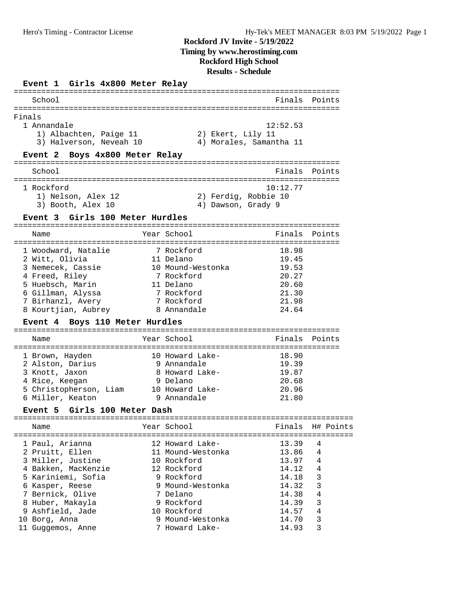### **Event 1 Girls 4x800 Meter Relay**

| School                                                                                                                                                                                                                    |                                                                                                                                                                                     | Finals                                                                                          | Points                                                                        |
|---------------------------------------------------------------------------------------------------------------------------------------------------------------------------------------------------------------------------|-------------------------------------------------------------------------------------------------------------------------------------------------------------------------------------|-------------------------------------------------------------------------------------------------|-------------------------------------------------------------------------------|
| Finals<br>1 Annandale<br>1) Albachten, Paige 11<br>3) Halverson, Neveah 10<br>Event 2 Boys 4x800 Meter Relay                                                                                                              | 2) Ekert, Lily 11<br>4) Morales, Samantha 11                                                                                                                                        | 12:52.53                                                                                        |                                                                               |
| School                                                                                                                                                                                                                    |                                                                                                                                                                                     | Finals                                                                                          | Points                                                                        |
| 1 Rockford<br>1) Nelson, Alex 12<br>3) Booth, Alex 10<br>Event 3 Girls 100 Meter Hurdles                                                                                                                                  | 2) Ferdig, Robbie 10<br>4) Dawson, Grady 9                                                                                                                                          | 10:12.77                                                                                        |                                                                               |
| Name                                                                                                                                                                                                                      | Year School                                                                                                                                                                         | Finals                                                                                          | Points                                                                        |
| ====================================<br>1 Woodward, Natalie<br>2 Witt, Olivia<br>3 Nemecek, Cassie<br>4 Freed, Riley<br>5 Huebsch, Marin<br>6 Gillman, Alyssa<br>7 Birhanzl, Avery<br>8 Kourtjian, Aubrey                 | 7 Rockford<br>11 Delano<br>10 Mound-Westonka<br>7 Rockford<br>11 Delano<br>7 Rockford<br>7 Rockford<br>8 Annandale                                                                  | 18.98<br>19.45<br>19.53<br>20.27<br>20.60<br>21.30<br>21.98<br>24.64                            |                                                                               |
| Event 4 Boys 110 Meter Hurdles                                                                                                                                                                                            |                                                                                                                                                                                     |                                                                                                 |                                                                               |
| Name                                                                                                                                                                                                                      | Year School                                                                                                                                                                         | Finals                                                                                          | Points                                                                        |
|                                                                                                                                                                                                                           |                                                                                                                                                                                     |                                                                                                 |                                                                               |
| 1 Brown, Hayden<br>2 Alston, Darius<br>3 Knott, Jaxon<br>4 Rice, Keegan<br>5 Christopherson, Liam 10 Howard Lake-<br>6 Miller, Keaton                                                                                     | 10 Howard Lake-<br>9 Annandale<br>8 Howard Lake-<br>9 Delano<br>9 Annandale                                                                                                         | 18.90<br>19.39<br>19.87<br>20.68<br>20.96<br>21.80                                              |                                                                               |
| Girls 100 Meter Dash<br>Event 5                                                                                                                                                                                           |                                                                                                                                                                                     |                                                                                                 |                                                                               |
| Name                                                                                                                                                                                                                      | Year School                                                                                                                                                                         | Finals                                                                                          | H# Points                                                                     |
| 1 Paul, Arianna<br>2 Pruitt, Ellen<br>3 Miller, Justine<br>4 Bakken, MacKenzie<br>5 Kariniemi, Sofia<br>6 Kasper, Reese<br>7 Bernick, Olive<br>8 Huber, Makayla<br>9 Ashfield, Jade<br>10 Borg, Anna<br>11 Guggemos, Anne | 12 Howard Lake-<br>11 Mound-Westonka<br>10 Rockford<br>12 Rockford<br>9 Rockford<br>9 Mound-Westonka<br>7 Delano<br>9 Rockford<br>10 Rockford<br>9 Mound-Westonka<br>7 Howard Lake- | 13.39<br>13.86<br>13.97<br>14.12<br>14.18<br>14.32<br>14.38<br>14.39<br>14.57<br>14.70<br>14.93 | 4<br>4<br>4<br>4<br>3<br>3<br>$\overline{4}$<br>3<br>$\overline{4}$<br>3<br>3 |

=======================================================================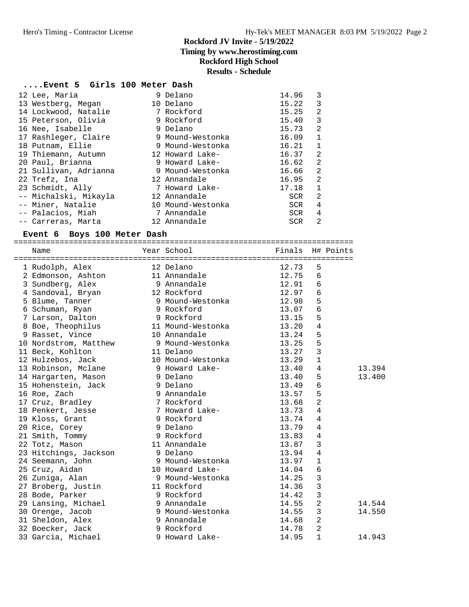# **Rockford JV Invite - 5/19/2022 Timing by www.herostiming.com**

# **Rockford High School**

# **Results - Schedule**

# **....Event 5 Girls 100 Meter Dash**

| 12 Lee, Maria         | 9 Delano          | 14.96 | 3            |
|-----------------------|-------------------|-------|--------------|
| 13 Westberg, Megan    | 10 Delano         | 15.22 | 3            |
| 14 Lockwood, Natalie  | 7 Rockford        | 15.25 | 2            |
| 15 Peterson, Olivia   | 9 Rockford        | 15.40 | 3            |
| 16 Nee, Isabelle      | 9 Delano          | 15.73 | 2            |
| 17 Rashleger, Claire  | 9 Mound-Westonka  | 16.09 | $\mathbf{1}$ |
| 18 Putnam, Ellie      | 9 Mound-Westonka  | 16.21 | $\mathbf{1}$ |
| 19 Thiemann, Autumn   | 12 Howard Lake-   | 16.37 | 2            |
| 20 Paul, Brianna      | 9 Howard Lake-    | 16.62 | 2            |
| 21 Sullivan, Adrianna | 9 Mound-Westonka  | 16.66 | 2            |
| 22 Trefz, Ina         | 12 Annandale      | 16.95 | 2            |
| 23 Schmidt, Ally      | 7 Howard Lake-    | 17.18 | $\mathbf{1}$ |
| -- Michalski, Mikayla | 12 Annandale      | SCR   | 2            |
| -- Miner, Natalie     | 10 Mound-Westonka | SCR   | 4            |
| -- Palacios, Miah     | 7 Annandale       | SCR   | 4            |
| -- Carreras, Marta    | 12 Annandale      | SCR   | 2            |

# **Event 6 Boys 100 Meter Dash**

| Name                                     | Year School Tinals H# Points        |       |                |        |
|------------------------------------------|-------------------------------------|-------|----------------|--------|
|                                          |                                     |       |                |        |
| 1 Rudolph, Alex                          | 12 Delano                           | 12.73 | 5              |        |
| 2 Edmonson, Ashton                       | 11 Annandale                        | 12.75 | 6              |        |
| 3 Sundberg, Alex                         | 9 Annandale                         | 12.91 | 6              |        |
| 4 Sandoval, Bryan 12 Rockford            |                                     | 12.97 | $\epsilon$     |        |
| 5 Blume, Tanner                          | 9 Mound-Westonka 12.98              |       | 5              |        |
| 6 Schuman, Ryan                          | 9 Rockford                          | 13.07 | $\epsilon$     |        |
| 7 Larson, Dalton 9 Rockford              |                                     | 13.15 | 5              |        |
| 8 Boe, Theophilus 11 Mound-Westonka      |                                     | 13.20 | $\overline{4}$ |        |
| 9 Rasset, Vince                          | 10 Annandale                        | 13.24 | 5              |        |
| 10 Nordstrom, Matthew 9 Mound-Westonka   |                                     | 13.25 | 5              |        |
| 11 Beck, Kohlton<br>11 Delano            |                                     | 13.27 | 3              |        |
| 12 Hulzebos, Jack                        | 10 Mound-Westonka                   | 13.29 | $\mathbf{1}$   |        |
| 13 Robinson, Mclane       9 Howard Lake- |                                     | 13.40 | 4              | 13.394 |
| 14 Hargarten, Mason                      | 9 Delano                            | 13.40 | 5              | 13.400 |
| 15 Hohenstein, Jack                      | 9 Delano                            | 13.49 | 6              |        |
| 16 Roe, Zach                             | 9 Annandale                         | 13.57 | 5              |        |
| 17 Cruz, Bradley                         | 7 Rockford                          | 13.68 | $\overline{2}$ |        |
|                                          | 7 Howard Lake-                      | 13.73 | $\overline{4}$ |        |
| 18 Penkert, Jesse<br>19 Kloss, Grant     | 9 Rockford                          | 13.74 | $\overline{4}$ |        |
| 20 Rice, Corey                           | 9 Rockfor<br>9 Delano               | 13.79 | $\overline{4}$ |        |
| 21 Smith, Tommy                          | 9 Rockford                          | 13.83 | $\overline{4}$ |        |
| 22 Totz, Mason                           | 11 Annandale                        | 13.87 | 3              |        |
| 23 Hitchings, Jackson                    | 9 Delano                            | 13.94 | $\overline{4}$ |        |
| 24 Seemann, John                         | 9 Mound-Westonka<br>10 Howard Lake- | 13.97 | $\mathbf 1$    |        |
| 25 Cruz, Aidan                           |                                     | 14.04 | $\epsilon$     |        |
| 26 Zuniga, Alan                          | 9 Mound-Westonka                    | 14.25 | $\overline{3}$ |        |
| 27 Broberg, Justin                       | 11 Rockford                         | 14.36 | $\overline{3}$ |        |
| 28 Bode, Parker                          | 9 Rockford                          | 14.42 | 3              |        |
| 29 Lansing, Michael 39 Annandale         |                                     | 14.55 | $\overline{2}$ | 14.544 |
| 30 Orenge, Jacob                         | 9 Mound-Westonka                    | 14.55 | $\overline{3}$ | 14.550 |
| 31 Sheldon, Alex                         | 9 Annandale                         | 14.68 | $\overline{a}$ |        |
| 32 Boecker, Jack                         | 9 Rockford                          | 14.78 | $\overline{2}$ |        |
| 33 Garcia, Michael                       | 9 Howard Lake-                      | 14.95 | $\mathbf{1}$   | 14.943 |
|                                          |                                     |       |                |        |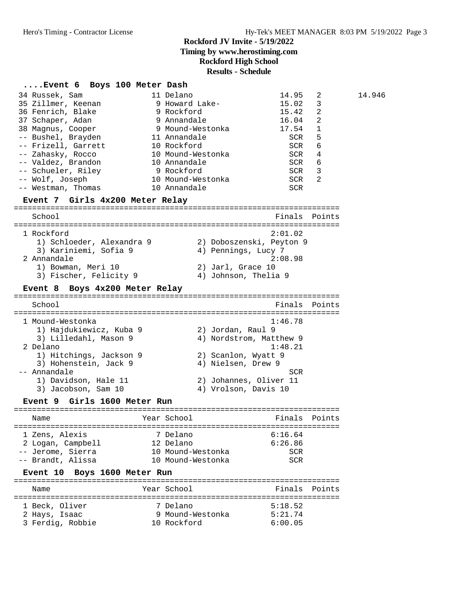**Timing by www.herostiming.com**

**Rockford High School**

# **Results - Schedule**

| Event 6 Boys 100 Meter Dash                  |                                                 |                |
|----------------------------------------------|-------------------------------------------------|----------------|
| 34 Russek, Sam                               | 11 Delano<br>14.95                              | 14.946<br>2    |
| 35 Zillmer, Keenan                           | 9 Howard Lake-<br>15.02                         | 3              |
| 36 Fenrich, Blake                            | 9 Rockford<br>15.42                             | 2              |
| 37 Schaper, Adan                             | 16.04<br>9 Annandale                            | 2              |
| 38 Magnus, Cooper                            | 9 Mound-Westonka<br>17.54                       | 1              |
| -- Bushel, Brayden                           | 11 Annandale<br>SCR                             | 5              |
| -- Frizell, Garrett                          | 10 Rockford<br><b>SCR</b>                       | 6              |
| -- Zahasky, Rocco                            | 10 Mound-Westonka<br><b>SCR</b>                 | 4              |
| -- Valdez, Brandon<br>-- Schueler, Riley     | 10 Annandale<br><b>SCR</b><br>9 Rockford<br>SCR | 6<br>3         |
| -- Wolf, Joseph                              | 10 Mound-Westonka<br>SCR                        | $\overline{2}$ |
| -- Westman, Thomas                           | 10 Annandale<br>SCR                             |                |
| Event 7 Girls 4x200 Meter Relay              |                                                 |                |
| School                                       | Finals                                          | Points         |
|                                              |                                                 |                |
| 1 Rockford                                   | 2:01.02                                         |                |
| 1) Schloeder, Alexandra 9                    | 2) Doboszenski, Peyton 9                        |                |
| 3) Kariniemi, Sofia 9                        | 4) Pennings, Lucy 7                             |                |
| 2 Annandale                                  | 2:08.98                                         |                |
| 1) Bowman, Meri 10<br>3) Fischer, Felicity 9 | 2) Jarl, Grace 10<br>4) Johnson, Thelia 9       |                |
|                                              |                                                 |                |
| Boys 4x200 Meter Relay<br>Event 8            |                                                 |                |
| School                                       |                                                 | Finals Points  |
| 1 Mound-Westonka                             | 1:46.78                                         |                |
| 1) Hajdukiewicz, Kuba 9                      | 2) Jordan, Raul 9                               |                |
| 3) Lilledahl, Mason 9                        | 4) Nordstrom, Matthew 9                         |                |
| 2 Delano                                     | 1:48.21                                         |                |
| 1) Hitchings, Jackson 9                      | 2) Scanlon, Wyatt 9                             |                |
| 3) Hohenstein, Jack 9                        | 4) Nielsen, Drew 9                              |                |
| -- Annandale                                 | SCR                                             |                |
| 1) Davidson, Hale 11                         | 2) Johannes, Oliver 11                          |                |
| 3) Jacobson, Sam 10                          | 4) Vrolson, Davis 10                            |                |
| Girls 1600 Meter Run<br>Event 9              |                                                 |                |
| Name                                         | Year School<br>Finals                           | Points         |
|                                              |                                                 |                |
| 1 Zens, Alexis<br>2 Logan, Campbell          | 6:16.64<br>7 Delano<br>12 Delano<br>6:26.86     |                |
| -- Jerome, Sierra                            | 10 Mound-Westonka<br>SCR                        |                |
| -- Brandt, Alissa                            | 10 Mound-Westonka<br><b>SCR</b>                 |                |
| Boys 1600 Meter Run<br>Event 10              |                                                 |                |
| Name                                         | Year School<br>Finals                           | Points         |
|                                              |                                                 |                |
| 1 Beck, Oliver                               | 5:18.52<br>7 Delano                             |                |
| 2 Hays, Isaac                                | 9 Mound-Westonka<br>5:21.74                     |                |
| 3 Ferdig, Robbie                             | 10 Rockford<br>6:00.05                          |                |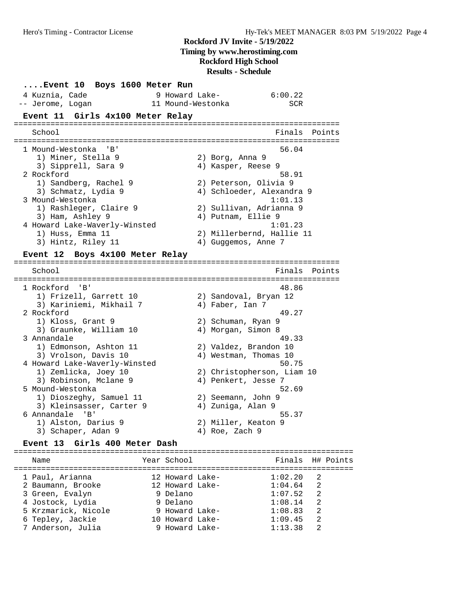**Timing by www.herostiming.com**

**Rockford High School**

**Results - Schedule**

| Event 10 Boys 1600 Meter Run                                              |                                |
|---------------------------------------------------------------------------|--------------------------------|
| 4 Kuznia, Cade<br>9 Howard Lake-<br>11 Mound-Westonka<br>-- Jerome, Logan | 6:00.22<br>SCR                 |
|                                                                           |                                |
| Event 11 Girls 4x100 Meter Relay                                          |                                |
| School                                                                    | Finals<br>Points               |
| 1 Mound-Westonka<br>"B"                                                   | 56.04                          |
| 1) Miner, Stella 9                                                        | 2) Borg, Anna 9                |
| 3) Sipprell, Sara 9                                                       | 4) Kasper, Reese 9             |
| 2 Rockford                                                                | 58.91                          |
| 1) Sandberg, Rachel 9                                                     | 2) Peterson, Olivia 9          |
| 3) Schmatz, Lydia 9                                                       | 4) Schloeder, Alexandra 9      |
| 3 Mound-Westonka                                                          | 1:01.13                        |
| 1) Rashleger, Claire 9                                                    | 2) Sullivan, Adrianna 9        |
| 3) Ham, Ashley 9                                                          | 4) Putnam, Ellie 9             |
| 4 Howard Lake-Waverly-Winsted                                             | 1:01.23                        |
| 1) Huss, Emma 11                                                          | 2) Millerbernd, Hallie 11      |
| 3) Hintz, Riley 11                                                        | 4) Guggemos, Anne 7            |
| Event 12 Boys 4x100 Meter Relay                                           |                                |
|                                                                           |                                |
| School                                                                    | Finals<br>Points               |
|                                                                           |                                |
| 1 Rockford 'B'<br>1) Frizell, Garrett 10                                  | 48.86<br>2) Sandoval, Bryan 12 |
| 3) Kariniemi, Mikhail 7                                                   | 4) Faber, Ian 7                |
| 2 Rockford                                                                | 49.27                          |
| 1) Kloss, Grant 9                                                         | 2) Schuman, Ryan 9             |
| 3) Graunke, William 10                                                    | 4) Morgan, Simon 8             |
| 3 Annandale                                                               | 49.33                          |
| 1) Edmonson, Ashton 11                                                    | 2) Valdez, Brandon 10          |
| 3) Vrolson, Davis 10                                                      | 4) Westman, Thomas 10          |
| 4 Howard Lake-Waverly-Winsted                                             | 50.75                          |
| 1) Zemlicka, Joey 10                                                      | 2) Christopherson, Liam 10     |
| 3) Robinson, Mclane 9                                                     | 4) Penkert, Jesse 7            |
| 5 Mound-Westonka                                                          | 52.69                          |
| 1) Dioszeghy, Samuel 11                                                   | 2) Seemann, John 9             |
| 3) Kleinsasser, Carter 9                                                  | 4) Zuniga, Alan 9              |
| 6 Annandale<br>'B'                                                        | 55.37                          |
| 1) Alston, Darius 9                                                       | 2) Miller, Keaton 9            |
| 3) Schaper, Adan 9                                                        | 4) Roe, Zach 9                 |
| Girls 400 Meter Dash<br>Event 13                                          |                                |
|                                                                           |                                |

| Name                | Year School     |         | Finals H# Points |
|---------------------|-----------------|---------|------------------|
| 1 Paul, Arianna     | 12 Howard Lake- | 1:02.20 | $\overline{2}$   |
| 2 Baumann, Brooke   | 12 Howard Lake- | 1:04.64 | 2                |
| 3 Green, Evalyn     | 9 Delano        | 1:07.52 | 2                |
| 4 Jostock, Lydia    | 9 Delano        | 1:08.14 | 2                |
| 5 Krzmarick, Nicole | 9 Howard Lake-  | 1:08.83 | 2                |
| 6 Tepley, Jackie    | 10 Howard Lake- | 1:09.45 | 2                |
| 7 Anderson, Julia   | 9 Howard Lake-  | 1:13.38 | 2                |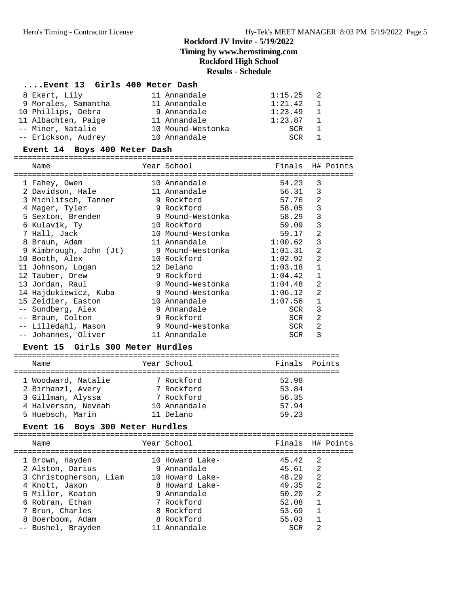# **....Event 13 Girls 400 Meter Dash**

| 8 Ekert, Lily       | 11 Annandale      | 1:15.25 | - 2.           |
|---------------------|-------------------|---------|----------------|
| 9 Morales, Samantha | 11 Annandale      | 1:21.42 | $\overline{1}$ |
| 10 Phillips, Debra  | 9 Annandale       | 1:23.49 | $\overline{1}$ |
| 11 Albachten, Paige | 11 Annandale      | 1:23.87 | $\overline{1}$ |
| -- Miner, Natalie   | 10 Mound-Westonka | SCR     | $\mathbf{1}$   |
| -- Erickson, Audrey | 10 Annandale      | SCR     |                |

# **Event 14 Boys 400 Meter Dash**

|  | Name                                            | Year School                                     | Finals H# Points |                |  |
|--|-------------------------------------------------|-------------------------------------------------|------------------|----------------|--|
|  | ==========================<br>1 Fahey, Owen     | ===============================<br>10 Annandale | 54.23            | 3              |  |
|  | 2 Davidson, Hale                                | 11 Annandale                                    | 56.31            | 3              |  |
|  | 3 Michlitsch, Tanner 9 Rockford                 |                                                 | 57.76            | 2              |  |
|  | 4 Mager, Tyler                                  | 9 Rockford                                      | 58.05            | 3              |  |
|  | 5 Sexton, Brenden                               | 9 Mound-Westonka                                | 58.29            | 3              |  |
|  | 6 Kulavik, Ty                                   | 10 Rockford<br>59.09                            |                  | 3              |  |
|  | 7 Hall, Jack                                    | 10 Mound-Westonka                               | 59.17            | $\overline{2}$ |  |
|  | 8 Braun, Adam                                   | 11 Annandale                                    | 1:00.62          | 3              |  |
|  | 9 Kimbrough, John (Jt) 9 Mound-Westonka 1:01.31 |                                                 |                  | $\overline{2}$ |  |
|  | 10 Booth, Alex                                  | 10 Rockford                                     | 1:02.92          | $\overline{2}$ |  |
|  | 11 Johnson, Logan                               | 12 Delano                                       | 1:03.18          | $\mathbf{1}$   |  |
|  | 12 Tauber, Drew                                 | 9 Rockford                                      | 1:04.42          | $\mathbf{1}$   |  |
|  | 13 Jordan, Raul                                 | 9 Mound-Westonka 1:04.48                        |                  | 2              |  |
|  | 14 Hajdukiewicz, Kuba     9 Mound-Westonka      |                                                 | 1:06.12          | $\overline{2}$ |  |
|  | 15 Zeidler, Easton                              | 10 Annandale                                    | 1:07.56          | $\mathbf{1}$   |  |
|  | -- Sundberg, Alex                               | 9 Annandale                                     | SCR              | 3              |  |
|  | -- Braun, Colton                                | 9 Rockford                                      | SCR              | $\overline{2}$ |  |
|  | -- Lilledahl, Mason                             | 9 Mound-Westonka                                | SCR              | $\overline{2}$ |  |
|  | -- Johannes, Oliver                             | 11 Annandale                                    | SCR              | 3              |  |
|  |                                                 |                                                 |                  |                |  |

## **Event 15 Girls 300 Meter Hurdles**

| Name                | Year School  | Finals Points |  |
|---------------------|--------------|---------------|--|
|                     |              |               |  |
| 1 Woodward, Natalie | 7 Rockford   | 52.98         |  |
| 2 Birhanzl, Avery   | 7 Rockford   | 53.84         |  |
| 3 Gillman, Alyssa   | 7 Rockford   | 56.35         |  |
| 4 Halverson, Neveah | 10 Annandale | 57.94         |  |
| 5 Huebsch, Marin    | 11 Delano    | 59.23         |  |

# **Event 16 Boys 300 Meter Hurdles**

| Name                   | Year School     | Finals H# Points |                |  |
|------------------------|-----------------|------------------|----------------|--|
| 1 Brown, Hayden        | 10 Howard Lake- | 45.42            | -2.            |  |
| 2 Alston, Darius       | 9 Annandale     | 45.61            | $\overline{2}$ |  |
| 3 Christopherson, Liam | 10 Howard Lake- | 48.29            | $\mathfrak{D}$ |  |
| 4 Knott, Jaxon         | 8 Howard Lake-  | 49.35            | $\mathfrak{D}$ |  |
| 5 Miller, Keaton       | 9 Annandale     | 50.20            | 2              |  |
| 6 Robran, Ethan        | 7 Rockford      | 52.08            | $\mathbf{1}$   |  |
| 7 Brun, Charles        | 8 Rockford      | 53.69            | $\overline{1}$ |  |
| 8 Boerboom, Adam       | 8 Rockford      | 55.03            |                |  |
| -- Bushel, Brayden     | 11 Annandale    | <b>SCR</b>       | $\mathcal{L}$  |  |
|                        |                 |                  |                |  |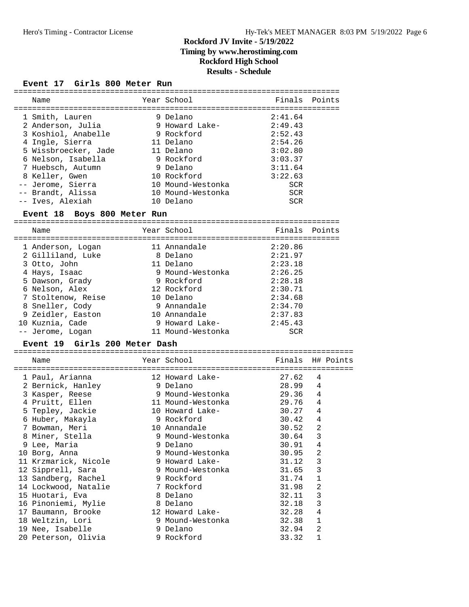## **Event 17 Girls 800 Meter Run**

| Name                                   | Year School                    | Finals                | Points           |
|----------------------------------------|--------------------------------|-----------------------|------------------|
|                                        |                                |                       |                  |
| 1 Smith, Lauren                        | 9 Delano                       | 2:41.64               |                  |
| 2 Anderson, Julia                      | 9 Howard Lake-                 | 2:49.43               |                  |
| 3 Koshiol, Anabelle                    | 9 Rockford                     | 2:52.43               |                  |
| 4 Ingle, Sierra                        | 11 Delano                      | 2:54.26               |                  |
| 5 Wissbroecker, Jade                   | 11 Delano                      | 3:02.80               |                  |
| 6 Nelson, Isabella                     | 9 Rockford<br>9 Delano         | 3:03.37               |                  |
| 7 Huebsch, Autumn                      | 10 Rockford                    | 3:11.64               |                  |
| 8 Keller, Gwen                         | 10 Mound-Westonka              | 3:22.63<br><b>SCR</b> |                  |
| -- Jerome, Sierra<br>-- Brandt, Alissa | 10 Mound-Westonka              | <b>SCR</b>            |                  |
| -- Ives, Alexiah                       | 10 Delano                      | <b>SCR</b>            |                  |
| Event 18 Boys 800 Meter Run            |                                |                       |                  |
|                                        |                                |                       |                  |
| Name                                   | Year School                    |                       | Finals Points    |
| 1 Anderson, Logan                      | 11 Annandale                   | 2:20.86               |                  |
| 2 Gilliland, Luke                      | 8 Delano                       | 2:21.97               |                  |
| 3 Otto, John                           | 11 Delano                      | 2:23.18               |                  |
| 4 Hays, Isaac                          |                                | 2:26.25               |                  |
| 5 Dawson, Grady                        | 9 Mound-Westonka<br>9 Rockford | 2:28.18               |                  |
| 6 Nelson, Alex                         | 12 Rockford                    | 2:30.71               |                  |
| 7 Stoltenow, Reise                     | 10 Delano                      | 2:34.68               |                  |
| 8 Sneller, Cody                        | 9 Annandale                    | 2:34.70               |                  |
| 9 Zeidler, Easton                      | 10 Annandale                   | 2:37.83               |                  |
| 10 Kuznia, Cade                        | 9 Howard Lake-                 | 2:45.43               |                  |
| -- Jerome, Logan                       | 11 Mound-Westonka              | <b>SCR</b>            |                  |
| Event 19 Girls 200 Meter Dash          |                                |                       |                  |
|                                        |                                |                       |                  |
| Name                                   | Year School                    |                       | Finals H# Points |
| 1 Paul, Arianna                        | 12 Howard Lake-                | 27.62                 | 4                |
| 2 Bernick, Hanley                      | 9 Delano                       | 28.99                 | 4                |
| 3 Kasper, Reese                        | 9 Mound-Westonka               | 29.36                 | 4                |
| 4 Pruitt, Ellen                        | 11 Mound-Westonka              | 29.76 4               |                  |
| 5 Tepley, Jackie                       | 10 Howard Lake-                | 30.27 4               |                  |
| 6 Huber, Makayla                       | 9 Rockford                     | 30.42                 | $\overline{4}$   |
| 7 Bowman, Meri                         | 10 Annandale                   | 30.52                 | $\overline{2}$   |
| 8 Miner, Stella                        | 9 Mound-Westonka               | 30.64                 | 3                |
| 9 Lee, Maria                           | 9 Delano                       | 30.91                 | 4                |
| 10 Borg, Anna                          | 9 Mound-Westonka               | 30.95                 | 2                |
| 11 Krzmarick, Nicole                   | 9 Howard Lake-                 | 31.12                 | 3                |
| 12 Sipprell, Sara                      | 9 Mound-Westonka               | 31.65                 | 3                |
| 13 Sandberg, Rachel                    | 9 Rockford                     | 31.74                 | $\mathbf 1$      |
| 14 Lockwood, Natalie                   | 7 Rockford                     | 31.98                 | 2                |
| 15 Huotari, Eva                        | 8 Delano                       | 32.11                 | 3                |
| 16 Pinoniemi, Mylie                    | 8 Delano                       | 32.18                 | 3                |
| 17 Baumann, Brooke                     | 12 Howard Lake-                | 32.28                 | 4                |
| 18 Weltzin, Lori                       | 9 Mound-Westonka               | 32.38                 | $\mathbf{1}$     |
| 19 Nee, Isabelle                       | 9 Delano                       | 32.94                 | $\overline{a}$   |
| 20 Peterson, Olivia                    | 9 Rockford                     | 33.32                 | 1                |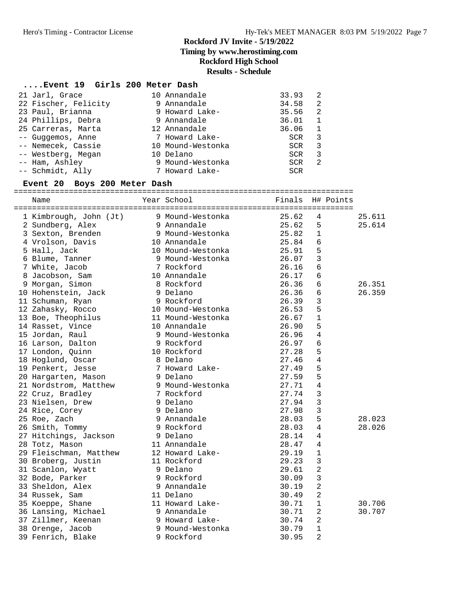# **Rockford JV Invite - 5/19/2022 Timing by www.herostiming.com**

# **Rockford High School**

# **Results - Schedule**

## **....Event 19 Girls 200 Meter Dash**

| 21 Jarl, Grace       | 10 Annandale      | 33.93      | 2  |
|----------------------|-------------------|------------|----|
| 22 Fischer, Felicity | 9 Annandale       | 34.58      | 2  |
| 23 Paul, Brianna     | 9 Howard Lake-    | 35.56      | -2 |
| 24 Phillips, Debra   | 9 Annandale       | 36.01      | 1  |
| 25 Carreras, Marta   | 12 Annandale      | 36.06      | 1  |
| -- Guggemos, Anne    | 7 Howard Lake-    | <b>SCR</b> | 3  |
| -- Nemecek, Cassie   | 10 Mound-Westonka | <b>SCR</b> | 3  |
| -- Westberg, Megan   | 10 Delano         | <b>SCR</b> | 3  |
| -- Ham, Ashley       | 9 Mound-Westonka  | <b>SCR</b> | 2  |
| -- Schmidt, Ally     | 7 Howard Lake-    | <b>SCR</b> |    |

#### **Event 20 Boys 200 Meter Dash**

==========================================================================

| Name                   | Year School       | Finals |                 | H# Points |        |
|------------------------|-------------------|--------|-----------------|-----------|--------|
| 1 Kimbrough, John (Jt) | 9 Mound-Westonka  | 25.62  | 4               |           | 25.611 |
| 2 Sundberg, Alex       | 9 Annandale       | 25.62  | 5               |           | 25.614 |
| 3 Sexton, Brenden      | 9 Mound-Westonka  | 25.82  | $\mathbf{1}$    |           |        |
| 4 Vrolson, Davis       | 10 Annandale      | 25.84  | 6               |           |        |
| 5 Hall, Jack           | 10 Mound-Westonka | 25.91  | 5               |           |        |
| 6 Blume, Tanner        | 9 Mound-Westonka  | 26.07  | $\mathbf{3}$    |           |        |
| 7 White, Jacob         | 7 Rockford        | 26.16  | $6\phantom{1}6$ |           |        |
| 8 Jacobson, Sam        | 10 Annandale      | 26.17  | 6               |           |        |
| 9 Morgan, Simon        | 8 Rockford        | 26.36  | 6               |           | 26.351 |
| 10 Hohenstein, Jack    | 9 Delano          | 26.36  | 6               |           | 26.359 |
| 11 Schuman, Ryan       | 9 Rockford        | 26.39  | $\mathbf{3}$    |           |        |
| 12 Zahasky, Rocco      | 10 Mound-Westonka | 26.53  | 5               |           |        |
| 13 Boe, Theophilus     | 11 Mound-Westonka | 26.67  | $\mathbf{1}$    |           |        |
| 14 Rasset, Vince       | 10 Annandale      | 26.90  | 5               |           |        |
| 15 Jordan, Raul        | 9 Mound-Westonka  | 26.96  | $\overline{4}$  |           |        |
| 16 Larson, Dalton      | 9 Rockford        | 26.97  | 6               |           |        |
| 17 London, Quinn       | 10 Rockford       | 27.28  | 5               |           |        |
| 18 Hoglund, Oscar      | 8 Delano          | 27.46  | $\overline{4}$  |           |        |
| 19 Penkert, Jesse      | 7 Howard Lake-    | 27.49  | 5               |           |        |
| 20 Hargarten, Mason    | 9 Delano          | 27.59  | 5               |           |        |
| 21 Nordstrom, Matthew  | 9 Mound-Westonka  | 27.71  | $\overline{4}$  |           |        |
| 22 Cruz, Bradley       | 7 Rockford        | 27.74  | $\overline{3}$  |           |        |
| 23 Nielsen, Drew       | 9 Delano          | 27.94  | $\overline{3}$  |           |        |
| 24 Rice, Corey         | 9 Delano          | 27.98  | $\mathbf{3}$    |           |        |
| 25 Roe, Zach           | 9 Annandale       | 28.03  | 5               |           | 28.023 |
| 26 Smith, Tommy        | 9 Rockford        | 28.03  | 4               |           | 28.026 |
| 27 Hitchings, Jackson  | 9 Delano          | 28.14  | 4               |           |        |
| 28 Totz, Mason         | 11 Annandale      | 28.47  | $\overline{4}$  |           |        |
| 29 Fleischman, Matthew | 12 Howard Lake-   | 29.19  | $\mathbf{1}$    |           |        |
| 30 Broberg, Justin     | 11 Rockford       | 29.23  | $\overline{3}$  |           |        |
| 31 Scanlon, Wyatt      | 9 Delano          | 29.61  | $\overline{a}$  |           |        |
| 32 Bode, Parker        | 9 Rockford        | 30.09  | $\mathbf{3}$    |           |        |
| 33 Sheldon, Alex       | 9 Annandale       | 30.19  | $\overline{2}$  |           |        |
| 34 Russek, Sam         | 11 Delano         | 30.49  | $\overline{2}$  |           |        |
| 35 Koeppe, Shane       | 11 Howard Lake-   | 30.71  | $\mathbf{1}$    |           | 30.706 |
| 36 Lansing, Michael    | 9 Annandale       | 30.71  | 2               |           | 30.707 |
| 37 Zillmer, Keenan     | 9 Howard Lake-    | 30.74  | $\overline{2}$  |           |        |
| 38 Orenge, Jacob       | 9 Mound-Westonka  | 30.79  | $\mathbf{1}$    |           |        |
| 39 Fenrich, Blake      | 9 Rockford        | 30.95  | $\overline{2}$  |           |        |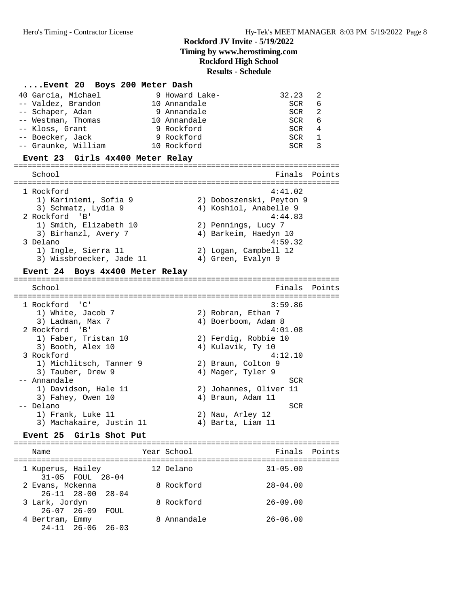#### **....Event 20 Boys 200 Meter Dash**

| 40 Garcia, Michael  | 9 Howard Lake- | 32.23 | -2. |
|---------------------|----------------|-------|-----|
| -- Valdez, Brandon  | 10 Annandale   | SCR   | 6   |
| -- Schaper, Adan    | 9 Annandale    | SCR   | 2   |
| -- Westman, Thomas  | 10 Annandale   | SCR   | 6   |
| -- Kloss, Grant     | 9 Rockford     | SCR   | 4   |
| -- Boecker, Jack    | 9 Rockford     | SCR   |     |
| -- Graunke, William | 10 Rockford    | SCR   |     |

#### **Event 23 Girls 4x400 Meter Relay**

======================================================================= School **Finals Points** ======================================================================= 1 Rockford 4:41.02 1) Kariniemi, Sofia 9 2) Doboszenski, Peyton 9 3) Schmatz, Lydia 9 4) Koshiol, Anabelle 9 2 Rockford 'B' 4:44.83 1) Smith, Elizabeth 10 2) Pennings, Lucy 7 3) Birhanzl, Avery 7 4) Barkeim, Haedyn 10 3 Delano 4:59.32 1) Ingle, Sierra 11 2) Logan, Campbell 12 3) Wissbroecker, Jade 11 4) Green, Evalyn 9

#### **Event 24 Boys 4x400 Meter Relay**

======================================================================= School **Finals** Points ======================================================================= 1 Rockford 'C' 3:59.86 1) White, Jacob 7 2) Robran, Ethan 7 3) Ladman, Max 7 (1998) 4) Boerboom, Adam 8 2 Rockford 'B' 4:01.08 1) Faber, Tristan 10 2) Ferdig, Robbie 10 3) Booth, Alex 10 (2) Ferdig, Robbie 10<br>3) Booth, Alex 10 (4) Kulavik, Ty 10 3 Rockford 4:12.10 1) Michlitsch, Tanner 9 2) Braun, Colton 9 3) Tauber, Drew 9 19 10 4) Mager, Tyler 9 -- Annandale SCR<br>1) Davidson, Hale 11 (2) Johannes, Oliver 11 1) Davidson, Hale 11 2) Johannes, Oliver 11 3) Fahey, Owen 10 (4) Braun, Adam 11 -- Delano SCR 1) Frank, Luke 11 2) Nau, Arley 12 3) Machakaire, Justin 11 (4) Barta, Liam 11

# **Event 25 Girls Shot Put** =======================================================================

Name The Year School Team Points Points ======================================================================= 1 Kuperus, Hailey 12 Delano 31-05.00 31-05 FOUL 28-04 2 Evans, Mckenna 8 Rockford 28-04.00 26-11 28-00 28-04 3 Lark, Jordyn 8 Rockford 26-09.00 26-07 26-09 FOUL 4 Bertram, Emmy 8 Annandale 26-06.00 24-11 26-06 26-03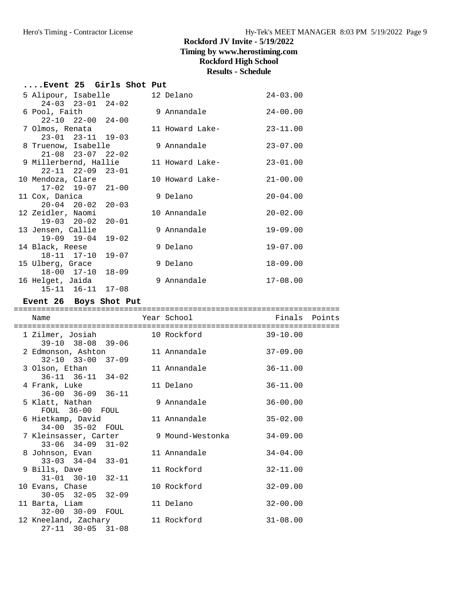# **Timing by www.herostiming.com**

# **Rockford High School**

# **Results - Schedule**

| Event 25 Girls Shot Put          |  |                 |              |
|----------------------------------|--|-----------------|--------------|
| 5 Alipour, Isabelle 12 Delano    |  |                 | $24 - 03.00$ |
| $24-03$ $23-01$ $24-02$          |  |                 |              |
| 6 Pool, Faith                    |  | 9 Annandale     | $24 - 00.00$ |
| $22 - 10$ $22 - 00$ $24 - 00$    |  |                 |              |
| 7 Olmos, Renata                  |  | 11 Howard Lake- | $23 - 11.00$ |
| $23 - 01$ $23 - 11$ $19 - 03$    |  |                 |              |
| 8 Truenow, Isabelle              |  | 9 Annandale     | $23 - 07.00$ |
| $21-08$ $23-07$ $22-02$          |  |                 |              |
| 9 Millerbernd, Hallie            |  | 11 Howard Lake- | $23 - 01.00$ |
| $22 - 11$ $22 - 09$ $23 - 01$    |  |                 |              |
| 10 Mendoza, Clare                |  | 10 Howard Lake- | $21 - 00.00$ |
| $17-02$ $19-07$ $21-00$          |  |                 |              |
| 11 Cox, Danica                   |  | 9 Delano        | $20 - 04.00$ |
| $20 - 04$ $20 - 02$ $20 - 03$    |  |                 |              |
| 12 Zeidler, Naomi                |  | 10 Annandale    | $20 - 02.00$ |
| $19 - 03$ $20 - 02$<br>$20 - 01$ |  |                 |              |
| 13 Jensen, Callie                |  | 9 Annandale     | $19 - 09.00$ |
| $19-09$ $19-04$ $19-02$          |  |                 |              |
| 14 Black, Reese                  |  | 9 Delano        | $19 - 07.00$ |
| 18-11 17-10 19-07                |  |                 |              |
| 15 Ulberg, Grace                 |  | 9 Delano        | $18 - 09.00$ |
| 18-00 17-10 18-09                |  |                 |              |
| 16 Helget, Jaida                 |  | 9 Annandale     | $17 - 08.00$ |
| 15-11 16-11 17-08                |  |                 |              |

# **Event 26 Boys Shot Put**

| Name                                                                          | Year School  | Finals Points |  |
|-------------------------------------------------------------------------------|--------------|---------------|--|
| 1 Zilmer, Josiah<br>39-10 38-08 39-06                                         | 10 Rockford  | $39 - 10.00$  |  |
| 2 Edmonson, Ashton<br>$32 - 10$ $33 - 00$ $37 - 09$                           | 11 Annandale | $37 - 09.00$  |  |
| 3 Olson, Ethan<br>$36-11$ $36-11$ $34-02$                                     | 11 Annandale | $36 - 11.00$  |  |
| 4 Frank, Luke<br>$36 - 00$ $36 - 09$ $36 - 11$                                | 11 Delano    | $36 - 11.00$  |  |
| 5 Klatt, Nathan<br>FOUL 36-00 FOUL                                            | 9 Annandale  | $36 - 00.00$  |  |
| 6 Hietkamp, David<br>34-00 35-02 FOUL                                         | 11 Annandale | $35 - 02.00$  |  |
| 7 Kleinsasser, Carter       9 Mound-Westonka<br>$33 - 06$ $34 - 09$ $31 - 02$ |              | $34 - 09.00$  |  |
| 8 Johnson, Evan<br>$33 - 03$ $34 - 04$ $33 - 01$                              | 11 Annandale | $34 - 04.00$  |  |
| 9 Bills, Dave<br>$31 - 01$ $30 - 10$ $32 - 11$                                | 11 Rockford  | $32 - 11.00$  |  |
| 10 Evans, Chase<br>$30 - 05$ $32 - 05$ $32 - 09$                              | 10 Rockford  | $32 - 09.00$  |  |
| 11 Barta, Liam<br>32-00 30-09 FOUL                                            | 11 Delano    | $32 - 00.00$  |  |
| 12 Kneeland, Zachary<br>$27 - 11$ 30-05 31-08                                 | 11 Rockford  | $31 - 08.00$  |  |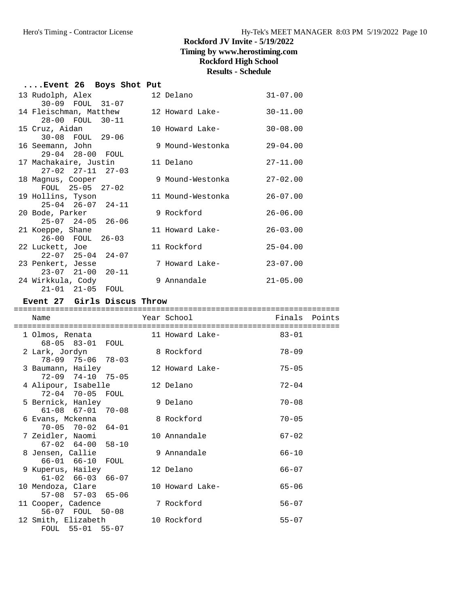| Event 26 Boys Shot Put           |                   |              |
|----------------------------------|-------------------|--------------|
| 13 Rudolph, Alex                 | 12 Delano         | $31 - 07.00$ |
| 30-09 FOUL 31-07                 |                   |              |
| 14 Fleischman, Matthew           | 12 Howard Lake-   | $30 - 11.00$ |
| 28-00 FOUL 30-11                 |                   |              |
| 15 Cruz, Aidan                   | 10 Howard Lake-   | $30 - 08.00$ |
| 30-08 FOUL 29-06                 |                   |              |
| 16 Seemann, John                 | 9 Mound-Westonka  | $29 - 04.00$ |
| 29-04 28-00 FOUL                 |                   |              |
| 17 Machakaire, Justin            | 11 Delano         | $27 - 11.00$ |
| $27 - 02$ $27 - 11$ $27 - 03$    |                   |              |
| 18 Magnus, Cooper                | 9 Mound-Westonka  | $27 - 02.00$ |
| FOUL 25-05 27-02                 |                   |              |
| 19 Hollins, Tyson                | 11 Mound-Westonka | $26 - 07.00$ |
| $25-04$ $26-07$ $24-11$          |                   |              |
| 20 Bode, Parker                  | 9 Rockford        | $26 - 06.00$ |
| $25-07$ $24-05$ $26-06$          |                   |              |
| 21 Koeppe, Shane                 | 11 Howard Lake-   | $26 - 03.00$ |
| 26-00 FOUL 26-03                 |                   |              |
| 22 Luckett, Joe                  | 11 Rockford       | $25 - 04.00$ |
| $22 - 07$ $25 - 04$ $24 - 07$    |                   |              |
| 23 Penkert, Jesse                | 7 Howard Lake-    | $23 - 07.00$ |
| $20 - 11$<br>$23 - 07$ $21 - 00$ |                   |              |
| 24 Wirkkula, Cody                | 9 Annandale       | $21 - 05.00$ |
| $21 - 01$ $21 - 05$<br>FOUL      |                   |              |

# **Event 27 Girls Discus Throw**

| Name                                               | Year School     | Finals Points |  |
|----------------------------------------------------|-----------------|---------------|--|
| 1 Olmos, Renata<br>68-05 83-01 FOUL                | 11 Howard Lake- | $83 - 01$     |  |
| 2 Lark, Jordyn<br>78-09 75-06 78-03                | 8 Rockford      | $78 - 09$     |  |
| 3 Baumann, Hailey<br>$72 - 09$ $74 - 10$ $75 - 05$ | 12 Howard Lake- | $75 - 05$     |  |
| 4 Alipour, Isabelle<br>72-04 70-05 FOUL            | 12 Delano       | $72 - 04$     |  |
| 5 Bernick, Hanley<br>$61-08$ $67-01$ $70-08$       | 9 Delano        | $70 - 08$     |  |
| 6 Evans, Mckenna<br>70-05 70-02 64-01              | 8 Rockford      | $70 - 05$     |  |
| 7 Zeidler. Naomi<br>$67-02$ $64-00$ $58-10$        | 10 Annandale    | $67 - 02$     |  |
| 8 Jensen, Callie<br>66-01 66-10 FOUL               | 9 Annandale     | $66 - 10$     |  |
| 9 Kuperus, Hailey<br>$61-02$ $66-03$ $66-07$       | 12 Delano       | $66 - 07$     |  |
| 10 Mendoza, Clare<br>$57-08$ $57-03$ $65-06$       | 10 Howard Lake- | $65 - 06$     |  |
| 11 Cooper, Cadence<br>56-07 FOUL 50-08             | 7 Rockford      | $56 - 07$     |  |
| 12 Smith, Elizabeth<br>FOUL 55-01 55-07            | 10 Rockford     | $55 - 07$     |  |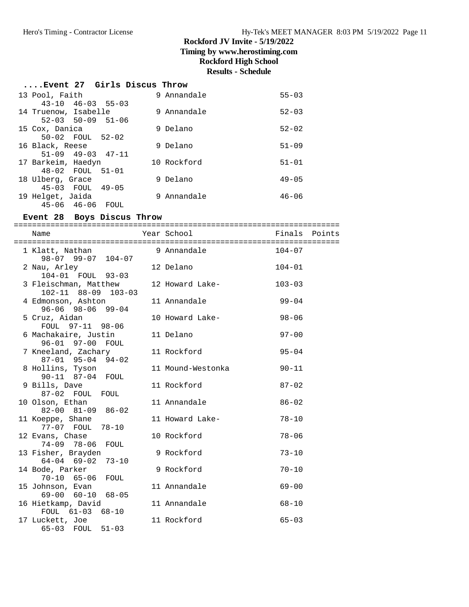## **Rockford JV Invite - 5/19/2022 Timing by www.herostiming.com**

# **Rockford High School**

# **Results - Schedule**

| Event 27 Girls Discus Throw |  |  |  |  |
|-----------------------------|--|--|--|--|
|-----------------------------|--|--|--|--|

| 13 Pool, Faith                | 9 Annandale | $55 - 03$ |
|-------------------------------|-------------|-----------|
| $43 - 10$ $46 - 03$ $55 - 03$ |             |           |
| 14 Truenow, Isabelle          | 9 Annandale | $52 - 03$ |
| $52 - 03$ $50 - 09$ $51 - 06$ |             |           |
| 15 Cox, Danica                | 9 Delano    | $52 - 02$ |
| 50-02 FOUL 52-02              |             |           |
| 16 Black, Reese               | 9 Delano    | $51 - 09$ |
| $51-09$ $49-03$ $47-11$       |             |           |
| 17 Barkeim, Haedyn            | 10 Rockford | $51 - 01$ |
| 48-02 FOUL 51-01              |             |           |
| 18 Ulberg, Grace              | 9 Delano    | $49 - 05$ |
| $45-03$ FOUL $49-05$          |             |           |
| 19 Helget, Jaida              | 9 Annandale | $46 - 06$ |
| $45 - 06$ $46 - 06$<br>FOUL   |             |           |

#### **Event 28 Boys Discus Throw**

======================================================================= Year School **Finals** Points ======================================================================= 1 Klatt, Nathan 9 Annandale 104-07 98-07 99-07 104-07 2 Nau, Arley 12 Delano 104-01 104-01 FOUL 93-03 3 Fleischman, Matthew 12 Howard Lake- 103-03 102-11 88-09 103-03 4 Edmonson, Ashton 11 Annandale 99-04 96-06 98-06 99-04 5 Cruz, Aidan 10 Howard Lake- 98-06 FOUL 97-11 98-06 6 Machakaire, Justin 11 Delano 97-00 96-01 97-00 FOUL 7 Kneeland, Zachary 11 Rockford 95-04 87-01 95-04 94-02 8 Hollins, Tyson 11 Mound-Westonka 90-11 90-11 87-04 FOUL 9 Bills, Dave 11 Rockford 87-02 87-02 FOUL FOUL 10 Olson, Ethan 11 Annandale 86-02 82-00 81-09 86-02 11 Koeppe, Shane 11 Howard Lake- 78-10 77-07 FOUL 78-10 12 Evans, Chase 10 Rockford 78-06 74-09 78-06 FOUL 13 Fisher, Brayden 9 Rockford 73-10 1 Silet, Druggen<br>64-04 69-02 73-10 14 Bode, Parker 9 Rockford 70-10 70-10 65-06 FOUL 15 Johnson, Evan 11 Annandale 69-00 69-00 60-10 68-05 16 Hietkamp, David 11 Annandale 68-10 FOUL 61-03 68-10 17 Luckett, Joe 11 Rockford 65-03 65-03 FOUL 51-03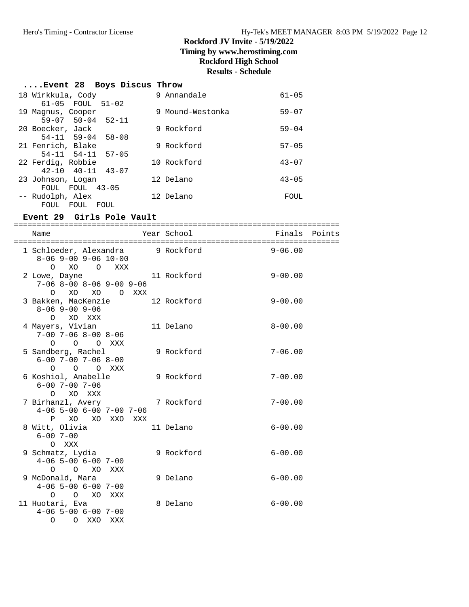#### **....Event 28 Boys Discus Throw**

| 18 Wirkkula, Cody             | Annandale<br>9   | $61 - 05$ |
|-------------------------------|------------------|-----------|
| 61-05 FOUL<br>$51 - 02$       |                  |           |
| 19 Magnus, Cooper             | 9 Mound-Westonka | $59 - 07$ |
| $59-07$ $50-04$ $52-11$       |                  |           |
| 20 Boecker, Jack              | 9 Rockford       | $59 - 04$ |
| $54-11$ $59-04$ $58-08$       |                  |           |
| 21 Fenrich, Blake             | 9 Rockford       | $57 - 05$ |
| $54 - 11$ $54 - 11$<br>57-05  |                  |           |
| 22 Ferdig, Robbie             | 10 Rockford      | $43 - 07$ |
| $42 - 10$ $40 - 11$ $43 - 07$ |                  |           |
| 23 Johnson, Logan             | 12 Delano        | $43 - 05$ |
| $43 - 05$<br>FOUL<br>FOUL     |                  |           |
| -- Rudolph, Alex              | 12 Delano        | FOUL      |
| FOUL<br>FOUL.<br>FOUL         |                  |           |

#### **Event 29 Girls Pole Vault**

======================================================================= Year School Finals Points ======================================================================= 1 Schloeder, Alexandra 9 Rockford 9-06.00 8-06 9-00 9-06 10-00 O XO O XXX 2 Lowe, Dayne 11 Rockford 9-00.00 7-06 8-00 8-06 9-00 9-06 O XO XO O XXX 3 Bakken, MacKenzie 12 Rockford 9-00.00 8-06 9-00 9-06 O XO XXX 4 Mayers, Vivian 11 Delano 8-00.00 7-00 7-06 8-00 8-06 O O O XXX 5 Sandberg, Rachel 9 Rockford 7-06.00 6-00 7-00 7-06 8-00 O O O XXX 6 Koshiol, Anabelle 9 Rockford 7-00.00 6-00 7-00 7-06 O XO XXX 7 Birhanzl, Avery 7 Rockford 7-00.00 4-06 5-00 6-00 7-00 7-06 P XO XO XXO XXX 8 Witt, Olivia 11 Delano 6-00.00 6-00 7-00 O XXX 9 Schmatz, Lydia 9 Rockford 6-00.00 4-06 5-00 6-00 7-00 O O XO XXX 9 McDonald, Mara 9 Delano 6-00.00 4-06 5-00 6-00 7-00 O O XO XXX 11 Huotari, Eva 6-00.00 4-06 5-00 6-00 7-00 O O XXO XXX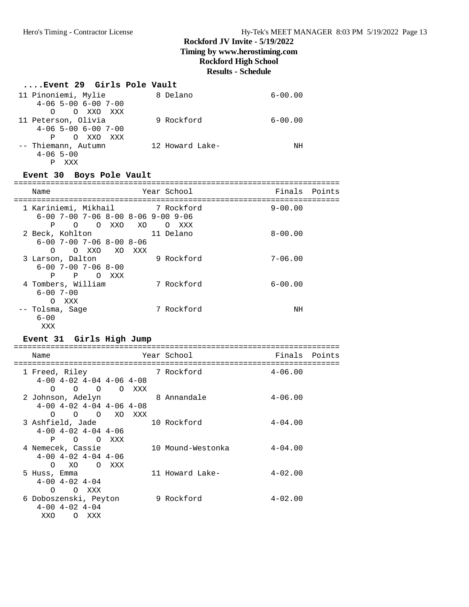# **....Event 29 Girls Pole Vault**

| 11 Pinoniemi, Mylie   | 8 Delano        | $6 - 00.00$ |
|-----------------------|-----------------|-------------|
| $4-06$ 5-00 6-00 7-00 |                 |             |
| O XXO XXX<br>$\Omega$ |                 |             |
| 11 Peterson, Olivia   | 9 Rockford      | $6 - 00.00$ |
| $4-06$ 5-00 6-00 7-00 |                 |             |
| O XXO<br>XXX<br>P     |                 |             |
| -- Thiemann, Autumn   | 12 Howard Lake- | NH          |
| $4 - 06$ 5-00         |                 |             |
|                       |                 |             |

# **Event 30 Boys Pole Vault**

| Name               |          |                              |       |     |          | Year School                          | Finals      | Points |
|--------------------|----------|------------------------------|-------|-----|----------|--------------------------------------|-------------|--------|
|                    |          |                              |       |     |          |                                      |             |        |
|                    |          |                              |       |     |          | 1 Kariniemi, Mikhail 1 7 Rockford    | $9 - 00.00$ |        |
|                    |          |                              |       |     |          | $6-00$ 7-00 7-06 8-00 8-06 9-00 9-06 |             |        |
| P                  | $\Omega$ |                              | O XXO | XO  | $\Omega$ | XXX                                  |             |        |
| 2 Beck, Kohlton    |          |                              |       |     |          | 11 Delano                            | $8 - 00.00$ |        |
|                    |          | $6 - 00$ 7-00 7-06 8-00 8-06 |       |     |          |                                      |             |        |
| $\Omega$           |          | O XXO XO                     |       | XXX |          |                                      |             |        |
| 3 Larson, Dalton   |          |                              |       |     |          | 9 Rockford                           | $7 - 06.00$ |        |
|                    |          | $6 - 00$ 7-00 7-06 8-00      |       |     |          |                                      |             |        |
| P                  | P        | $\Omega$                     | XXX   |     |          |                                      |             |        |
| 4 Tombers, William |          |                              |       |     |          | 7 Rockford                           | $6 - 00.00$ |        |
| $6 - 00$ 7-00      |          |                              |       |     |          |                                      |             |        |
| ∩                  | XXX      |                              |       |     |          |                                      |             |        |
| -- Tolsma, Sage    |          |                              |       |     |          | 7 Rockford                           | ΝH          |        |
| $6 - 00$           |          |                              |       |     |          |                                      |             |        |
| XXX                |          |                              |       |     |          |                                      |             |        |

| Event 31 Girls High Jump     |                |                                       |                                                  |          |                               |               |  |
|------------------------------|----------------|---------------------------------------|--------------------------------------------------|----------|-------------------------------|---------------|--|
| Name                         |                |                                       |                                                  | ======== | Year School                   | Finals Points |  |
| 1 Freed, Riley<br>$\Omega$   |                | $\begin{matrix} 0 & 0 \end{matrix}$   | $4-00$ $4-02$ $4-04$ $4-06$ $4-08$<br>O XXX      |          | 7 Rockford                    | $4 - 06.00$   |  |
| $\Omega$                     |                |                                       | $4-00$ $4-02$ $4-04$ $4-06$ $4-08$<br>O O XO XXX |          | 2 Johnson, Adelyn 8 Annandale | $4 - 06.00$   |  |
| 3 Ashfield, Jade<br>P        |                | $4-00$ $4-02$ $4-04$ $4-06$<br>O OXXX |                                                  |          | 10 Rockford                   | $4 - 04.00$   |  |
| 4 Nemecek, Cassie            | XO<br>$\Omega$ | $4-00$ $4-02$ $4-04$ $4-06$           | O XXX                                            |          | 10 Mound-Westonka             | $4 - 04.00$   |  |
| 5 Huss, Emma<br>$\Omega$     |                | $4 - 00$ $4 - 02$ $4 - 04$<br>O XXX   |                                                  |          | 11 Howard Lake-               | $4 - 02.00$   |  |
| 6 Doboszenski, Peyton<br>XXO | $\Omega$       | $4 - 00$ $4 - 02$ $4 - 04$<br>XXX     |                                                  |          | 9 Rockford                    | $4 - 02.00$   |  |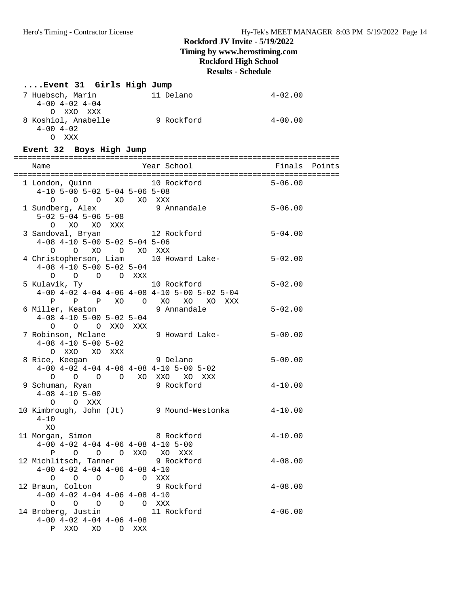# **....Event 31 Girls High Jump**

| 7 Huebsch, Marin     | 11 Delano  | $4 - 02.00$ |
|----------------------|------------|-------------|
| $4-00$ $4-02$ $4-04$ |            |             |
| O XXO XXX            |            |             |
| 8 Koshiol, Anabelle  | 9 Rockford | $4 - 00.00$ |
| $4 - 00$ $4 - 02$    |            |             |
| XXX                  |            |             |

# **Event 32 Boys High Jump**

| $4-10$ 5-00 5-02 5-04 5-06 5-08                                                                           | 1 London, Quinn 10 Rockford 5-06.00                               |             |  |
|-----------------------------------------------------------------------------------------------------------|-------------------------------------------------------------------|-------------|--|
| $O$ $O$ $O$ $XO$ $XO$ $XXX$                                                                               | 1 Sundberg, Alex 3 Annandale 5-06.00<br>5-02 5-04 5-06 5-08       |             |  |
| $4-08$ $4-10$ $5-00$ $5-02$ $5-04$ $5-06$                                                                 | 0 XO XO XXX<br>3 Sandoval, Bryan 12 Rockford 5-04.00              |             |  |
| $4-08$ $4-10$ $5-00$ $5-02$ $5-04$<br>$O$ $O$ $O$ $O$ $XXX$                                               | 0 0 XO 0 XO XXX<br>4 Christopherson, Liam 10 Howard Lake- 5-02.00 |             |  |
|                                                                                                           | $4-00$ $4-02$ $4-04$ $4-06$ $4-08$ $4-10$ $5-00$ $5-02$ $5-04$    | $5 - 02.00$ |  |
| $4-08$ $4-10$ $5-00$ $5-02$ $5-04$<br>O O O XXO XXX                                                       | P P P XO O XO XO XO XXX<br>6 Miller, Keaton 9 Annandale           | $5 - 02.00$ |  |
|                                                                                                           | 7 Robinson, Mclane 9 Howard Lake-<br>4-08 4-10 5-00 5-02          |             |  |
| $4-00$ $4-02$ $4-04$ $4-06$ $4-08$ $4-10$ $5-00$ $5-02$                                                   |                                                                   |             |  |
| 9 Schuman, Ryan<br>9 Schuman, Ryan<br>4-08 4-10 5-00<br>O O XXX                                           |                                                                   | $4 - 10.00$ |  |
| $4 - 10$<br>XO                                                                                            | 10 Kimbrough, John (Jt) 9 Mound-Westonka 4-10.00                  |             |  |
| 11 Morgan, Simon 8 Rockford<br>$4-00$ $4-02$ $4-04$ $4-06$ $4-08$ $4-10$ $5-00$<br>P O O O XXO XO XXX     |                                                                   | $4 - 10.00$ |  |
| 12 Michlitsch, Tanner 9 Rockford<br>$4-00$ $4-02$ $4-04$ $4-06$ $4-08$ $4-10$                             |                                                                   | $4 - 08.00$ |  |
| $4-00$ $4-02$ $4-04$ $4-06$ $4-08$ $4-10$                                                                 |                                                                   |             |  |
| 0 0 0 0 0 0 XXX<br>14 Broberg, Justin 11 Rockford<br>$4-00$ $4-02$ $4-04$ $4-06$ $4-08$<br>P XXO XO O XXX |                                                                   | $4 - 06.00$ |  |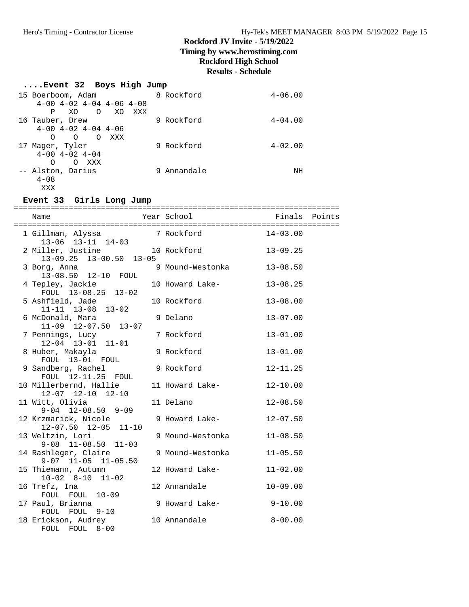# **Timing by www.herostiming.com**

# **Rockford High School**

# **Results - Schedule**

| Event 32 Boys High Jump            |             |             |  |  |  |  |
|------------------------------------|-------------|-------------|--|--|--|--|
| 15 Boerboom, Adam                  | 8 Rockford  | $4 - 06.00$ |  |  |  |  |
| $4-00$ $4-02$ $4-04$ $4-06$ $4-08$ |             |             |  |  |  |  |
| $\Omega$<br>XO.<br>XO<br>XXX<br>P  |             |             |  |  |  |  |
| 16 Tauber, Drew                    | 9 Rockford  | $4 - 04.00$ |  |  |  |  |
| $4-00$ $4-02$ $4-04$ $4-06$        |             |             |  |  |  |  |
| $\Omega$<br>∩<br>$\Omega$<br>XXX   |             |             |  |  |  |  |
| 17 Mager, Tyler                    | 9 Rockford  | $4 - 02.00$ |  |  |  |  |
| $4 - 00$ $4 - 02$ $4 - 04$         |             |             |  |  |  |  |
| ∩<br>xxx<br>O                      |             |             |  |  |  |  |
| -- Alston, Darius                  | 9 Annandale | ΝH          |  |  |  |  |
| $4 - 0.8$                          |             |             |  |  |  |  |
| XXX                                |             |             |  |  |  |  |

# **Event 33 Girls Long Jump**

| 1 Gillman, Alyssa                 7 Rockford<br>13-06 13-11 14-03 |                        | $14 - 03.00$ |  |
|-------------------------------------------------------------------|------------------------|--------------|--|
| 2 Miller, Justine 10 Rockford<br>13-09.25 13-00.50 13-05          |                        | $13 - 09.25$ |  |
| 3 Borg, Anna<br>13-08.50 12-10 FOUL                               | 9 Mound-Westonka       | $13 - 08.50$ |  |
| 4 Tepley, Jackie<br>FOUL 13-08.25 13-02                           | 10 Howard Lake-        | $13 - 08.25$ |  |
| 5 Ashfield, Jade<br>11-11 13-08 13-02                             | 10 Rockford            | $13 - 08.00$ |  |
| 6 McDonald, Mara<br>$11-09$ $12-07.50$ $13-07$                    | 9 Delano               | $13 - 07.00$ |  |
| 7 Pennings, Lucy<br>$12-04$ $13-01$ $11-01$                       | 7 Rockford             | $13 - 01.00$ |  |
| 8 Huber, Makayla<br>FOUL 13-01 FOUL                               | 9 Rockford             | $13 - 01.00$ |  |
| 9 Sandberg, Rachel<br>FOUL 12-11.25 FOUL                          | 9 Rockford             | $12 - 11.25$ |  |
| 10 Millerbernd, Hallie<br>12-07 12-10 12-10                       | 11 Howard Lake-        | $12 - 10.00$ |  |
| 11 Witt, Olivia<br>$9-04$ 12-08.50 9-09                           | 11 Delano              | $12 - 08.50$ |  |
| 12 Krzmarick, Nicole<br>$12-07.50$ $12-05$ $11-10$                | 9 Howard Lake-         | $12 - 07.50$ |  |
| 13 Weltzin, Lori<br>$9-08$ $11-08.50$ $11-03$                     | 9 Mound-Westonka       | $11 - 08.50$ |  |
| 14 Rashleger, Claire<br>$9-07$ $11-05$ $11-05.50$                 | 9 Mound-Westonka       | $11 - 05.50$ |  |
| 15 Thiemann, Autumn<br>$10-02$ $8-10$ $11-02$                     | 12 Howard Lake-        | $11 - 02.00$ |  |
| 16 Trefz, Ina<br>FOUL FOUL 10-09                                  | 12 Annandale           | $10 - 09.00$ |  |
| 17 Paul, Brianna<br>FOUL FOUL 9-10                                | 9 Howard Lake- 9-10.00 |              |  |
| 18 Erickson, Audrey<br>FOUL FOUL 8-00                             | 10 Annandale           | $8 - 00.00$  |  |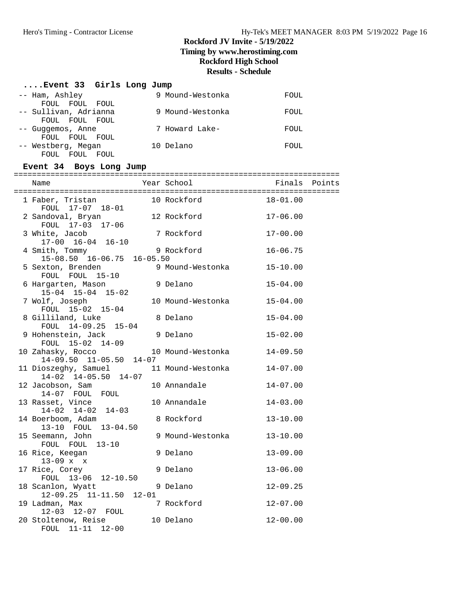# **....Event 33 Girls Long Jump**

FOUL 11-11 12-00

| -- Ham, Ashley<br>FOUL FOUL FOUL                   |           | 9 Mound-Westonka  | FOUL          |  |
|----------------------------------------------------|-----------|-------------------|---------------|--|
| -- Sullivan, Adrianna<br>FOUL FOUL FOUL            |           | 9 Mound-Westonka  | FOUL          |  |
| -- Guggemos, Anne<br>FOUL FOUL FOUL                |           | 7 Howard Lake-    | FOUL          |  |
| -- Westberg, Megan<br>FOUL FOUL FOUL               |           | 10 Delano         | FOUL          |  |
| Event 34 Boys Long Jump                            |           |                   |               |  |
| Name                                               |           | Year School       | Finals Points |  |
| 1 Faber, Tristan 10 Rockford<br>FOUL 17-07 18-01   |           |                   | $18 - 01.00$  |  |
| 2 Sandoval, Bryan<br>FOUL 17-03 17-06              |           | 12 Rockford       | $17 - 06.00$  |  |
| 3 White, Jacob<br>$17-00$ $16-04$ $16-10$          |           | 7 Rockford        | $17 - 00.00$  |  |
| 4 Smith, Tommy<br>15-08.50 16-06.75 16-05.50       |           | 9 Rockford        | $16 - 06.75$  |  |
| 5 Sexton, Brenden<br>FOUL FOUL 15-10               |           | 9 Mound-Westonka  | $15 - 10.00$  |  |
| 6 Hargarten, Mason<br>15-04 15-04 15-02            |           | 9 Delano          | $15 - 04.00$  |  |
| 7 Wolf, Joseph<br>FOUL 15-02 15-04                 |           | 10 Mound-Westonka | $15 - 04.00$  |  |
| 8 Gilliland, Luke<br>FOUL 14-09.25 15-04           |           | 8 Delano          | $15 - 04.00$  |  |
| 9 Hohenstein, Jack<br>FOUL 15-02 14-09             |           | 9 Delano          | $15 - 02.00$  |  |
| 10 Zahasky, Rocco<br>$14-09.50$ $11-05.50$ $14-07$ |           | 10 Mound-Westonka | $14 - 09.50$  |  |
| 11 Dioszeghy, Samuel<br>$14-02$ $14-05.50$ $14-07$ |           | 11 Mound-Westonka | $14 - 07.00$  |  |
| 12 Jacobson, Sam<br>14-07 FOUL FOUL                |           | 10 Annandale      | $14 - 07.00$  |  |
| 13 Rasset, Vince<br>$14-02$ $14-02$ $14-03$        |           | 10 Annandale      | $14 - 03.00$  |  |
| 14 Boerboom, Adam<br>13-10 FOUL 13-04.50           |           | 8 Rockford        | $13 - 10.00$  |  |
| 15 Seemann, John<br>FOUL FOUL<br>$13 - 10$         |           | 9 Mound-Westonka  | $13 - 10.00$  |  |
| 16 Rice, Keegan<br>$13-09$ x x                     |           | 9 Delano          | $13 - 09.00$  |  |
| 17 Rice, Corey<br>FOUL 13-06 12-10.50              |           | 9 Delano          | $13 - 06.00$  |  |
| 18 Scanlon, Wyatt<br>$12-09.25$ $11-11.50$         | $12 - 01$ | 9 Delano          | $12 - 09.25$  |  |
| 19 Ladman, Max<br>12-03 12-07 FOUL                 |           | 7 Rockford        | $12 - 07.00$  |  |
| 20 Stoltenow, Reise                                |           | 10 Delano         | $12 - 00.00$  |  |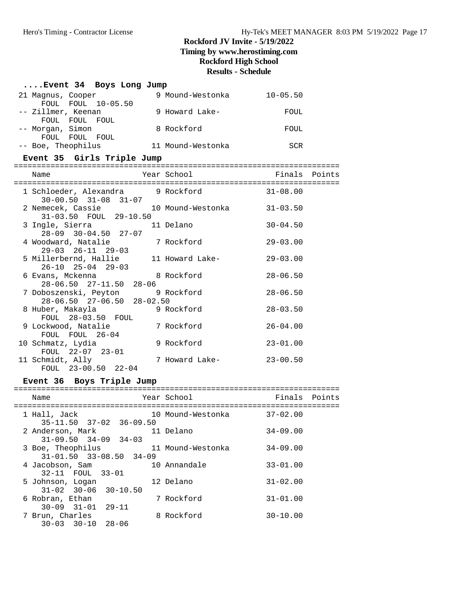#### **....Event 34 Boys Long Jump** 21 Magnus, Cooper 9 Mound-Westonka 10-05.50 FOUL FOUL 10-05.50 -- Zillmer, Keenan 9 Howard Lake- FOUL FOUL FOUL FOUL -- Morgan, Simon 8 Rockford FOUL FOUL FOUL FOUL -- Boe, Theophilus 11 Mound-Westonka SCR **Event 35 Girls Triple Jump** ======================================================================= Name The Year School Team Points Points ======================================================================= 1 Schloeder, Alexandra 9 Rockford 31-08.00 30-00.50 31-08 31-07 2 Nemecek, Cassie 10 Mound-Westonka 31-03.50 31-03.50 FOUL 29-10.50 3 Ingle, Sierra 11 Delano 30-04.50 28-09 30-04.50 27-07 4 Woodward, Natalie 7 Rockford 29-03.00 29-03 26-11 29-03 5 Millerbernd, Hallie 11 Howard Lake- 29-03.00 26-10 25-04 29-03 6 Evans, Mckenna 8 Rockford 28-06.50 28-06.50 27-11.50 28-06 7 Doboszenski, Peyton 9 Rockford 28-06.50 28-06.50 27-06.50 28-02.50<br>8 Huber, Makayla 9 Ro 9 Rockford 28-03.50 FOUL 28-03.50 FOUL 9 Lockwood, Natalie 7 Rockford 26-04.00<br>FOUL FOUL 26-04 FOUL FOUL 26-04 10 Schmatz, Lydia 9 Rockford 23-01.00 FOUL 22-07 23-01 11 Schmidt, Ally 7 Howard Lake- 23-00.50 FOUL 23-00.50 22-04

#### **Event 36 Boys Triple Jump**

| Name |                 |                  |                                                       | Year School       | Finals Points |  |
|------|-----------------|------------------|-------------------------------------------------------|-------------------|---------------|--|
|      | 1 Hall, Jack    |                  |                                                       | 10 Mound-Westonka | $37 - 02.00$  |  |
|      |                 | 2 Anderson, Mark | $35 - 11.50$ $37 - 02$ $36 - 09.50$                   | 11 Delano         | $34 - 09.00$  |  |
|      |                 |                  | $31 - 09.50$ $34 - 09$ $34 - 03$<br>3 Boe, Theophilus | 11 Mound-Westonka | $34 - 09.00$  |  |
|      | 4 Jacobson, Sam |                  | $31 - 01.50$ $33 - 08.50$ $34 - 09$                   | 10 Annandale      | $33 - 01.00$  |  |
|      |                 | 32-11 FOUL 33-01 |                                                       | 12 Delano         | $31 - 02.00$  |  |
|      |                 | 5 Johnson, Logan | $31 - 02$ $30 - 06$ $30 - 10.50$                      |                   |               |  |
|      | 6 Robran, Ethan |                  | $30 - 09$ $31 - 01$ $29 - 11$                         | 7 Rockford        | $31 - 01.00$  |  |
|      | 7 Brun, Charles |                  | $30 - 03$ $30 - 10$ $28 - 06$                         | 8 Rockford        | $30 - 10.00$  |  |
|      |                 |                  |                                                       |                   |               |  |